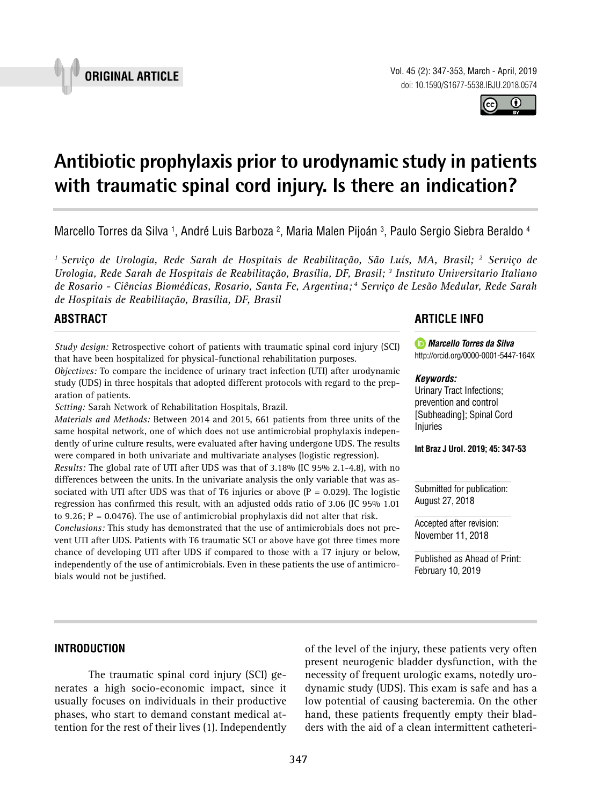

Vol. 45 (2): 347-353, March - April, 2019 doi: 10.1590/S1677-5538.IBJU.2018.0574

**Antibiotic prophylaxis prior to urodynamic study in patients** 

Marcello Torres da Silva <sup>1</sup>, André Luis Barboza <sup>2</sup>, Maria Malen Pijoán <sup>3</sup>, Paulo Sergio Siebra Beraldo <sup>4</sup>

**with traumatic spinal cord injury. Is there an indication? \_\_\_\_\_\_\_\_\_\_\_\_\_\_\_\_\_\_\_\_\_\_\_\_\_\_\_\_\_\_\_\_\_\_\_\_\_\_\_\_\_\_\_\_\_\_\_**

*1 Serviço de Urologia, Rede Sarah de Hospitais de Reabilitação, São Luís, MA, Brasil; 2 Serviço de Urologia, Rede Sarah de Hospitais de Reabilitação, Brasília, DF, Brasil; 3 Instituto Universitario Italiano de Rosario - Ciências Biomédicas, Rosario, Santa Fe, Argentina; 4 Serviço de Lesão Medular, Rede Sarah de Hospitais de Reabilitação, Brasília, DF, Brasil*

# **ABSTRACT**

*Study design:* Retrospective cohort of patients with traumatic spinal cord injury (SCI) that have been hospitalized for physical-functional rehabilitation purposes.

*Objectives:* To compare the incidence of urinary tract infection (UTI) after urodynamic study (UDS) in three hospitals that adopted different protocols with regard to the preparation of patients.

*Setting:* Sarah Network of Rehabilitation Hospitals, Brazil.

*Materials and Methods:* Between 2014 and 2015, 661 patients from three units of the same hospital network, one of which does not use antimicrobial prophylaxis independently of urine culture results, were evaluated after having undergone UDS. The results were compared in both univariate and multivariate analyses (logistic regression).

*Results:* The global rate of UTI after UDS was that of 3.18% (IC 95% 2.1-4.8), with no differences between the units. In the univariate analysis the only variable that was associated with UTI after UDS was that of T6 injuries or above  $(P = 0.029)$ . The logistic regression has confirmed this result, with an adjusted odds ratio of 3.06 (IC 95% 1.01 to 9.26;  $P = 0.0476$ ). The use of antimicrobial prophylaxis did not alter that risk.

*Conclusions:* This study has demonstrated that the use of antimicrobials does not prevent UTI after UDS. Patients with T6 traumatic SCI or above have got three times more chance of developing UTI after UDS if compared to those with a T7 injury or below, independently of the use of antimicrobials. Even in these patients the use of antimicrobials would not be justified.

# **ARTICLE INFO**

*Marcello Torres da Silva* http://orcid.org/0000-0001-5447-164X

#### *Keywords:*

Urinary Tract Infections; prevention and control [Subheading]; Spinal Cord Injuries

**Int Braz J Urol. 2019; 45: 347-53**

Submitted for publication: August 27, 2018

Accepted after revision: November 11, 2018

Published as Ahead of Print: February 10, 2019

## **INTRODUCTION**

The traumatic spinal cord injury (SCI) generates a high socio-economic impact, since it usually focuses on individuals in their productive phases, who start to demand constant medical attention for the rest of their lives (1). Independently

of the level of the injury, these patients very often present neurogenic bladder dysfunction, with the necessity of frequent urologic exams, notedly urodynamic study (UDS). This exam is safe and has a low potential of causing bacteremia. On the other hand, these patients frequently empty their bladders with the aid of a clean intermittent catheteri-



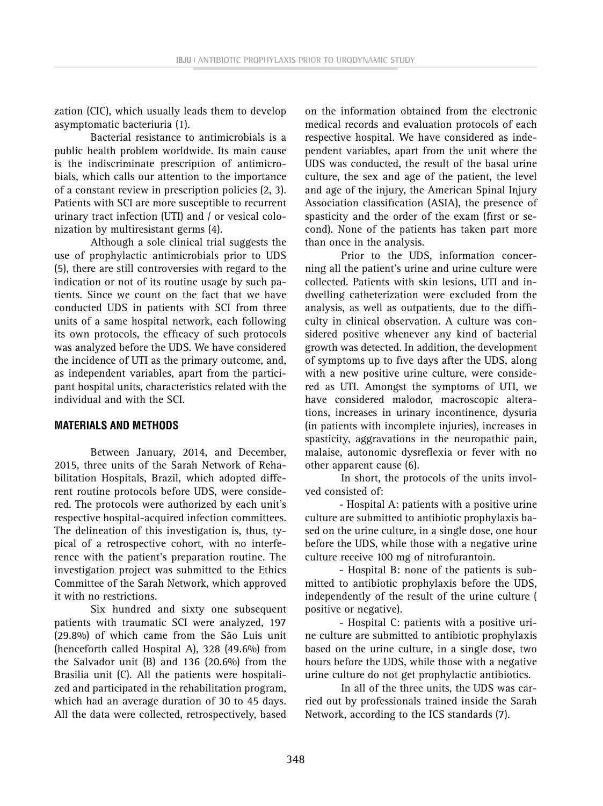**IBJU <sup>|</sup> ANTIBIOTIC PROPHYLAXIS PRIOR TO URODYNAMIC STUDY**

zation (CIC), which usually leads them to develop asymptomatic bacteriuria (1).

Bacterial resistance to antimicrobials is a public health problem worldwide. Its main cause is the indiscriminate prescription of antimicrobials, which calls our attention to the importance of a constant review in prescription policies (2, 3). Patients with SCI are more susceptible to recurrent urinary tract infection (UTI) and / or vesical colonization by multiresistant germs (4).

Although a sole clinical trial suggests the use of prophylactic antimicrobials prior to UDS (5), there are still controversies with regard to the indication or not of its routine usage by such patients. Since we count on the fact that we have conducted UDS in patients with SCI from three units of a same hospital network, each following its own protocols, the efficacy of such protocols was analyzed before the UDS. We have considered the incidence of UTI as the primary outcome, and, as independent variables, apart from the participant hospital units, characteristics related with the individual and with the SCI.

# **MATERIALS AND METHODS**

Between January, 2014, and December, 2015, three units of the Sarah Network of Rehabilitation Hospitals, Brazil, which adopted different routine protocols before UDS, were considered. The protocols were authorized by each unit's respective hospital-acquired infection committees. The delineation of this investigation is, thus, typical of a retrospective cohort, with no interference with the patient's preparation routine. The investigation project was submitted to the Ethics Committee of the Sarah Network, which approved it with no restrictions.

Six hundred and sixty one subsequent patients with traumatic SCI were analyzed, 197 (29.8%) of which came from the São Luis unit (henceforth called Hospital A), 328 (49.6%) from the Salvador unit (B) and 136 (20.6%) from the Brasilia unit (C). All the patients were hospitalized and participated in the rehabilitation program, which had an average duration of 30 to 45 days. All the data were collected, retrospectively, based on the information obtained from the electronic medical records and evaluation protocols of each respective hospital. We have considered as independent variables, apart from the unit where the UDS was conducted, the result of the basal urine culture, the sex and age of the patient, the level and age of the injury, the American Spinal Injury Association classification (ASIA), the presence of spasticity and the order of the exam (first or second). None of the patients has taken part more than once in the analysis.

Prior to the UDS, information concerning all the patient's urine and urine culture were collected. Patients with skin lesions, UTI and indwelling catheterization were excluded from the analysis, as well as outpatients, due to the difficulty in clinical observation. A culture was considered positive whenever any kind of bacterial growth was detected. In addition, the development of symptoms up to five days after the UDS, along with a new positive urine culture, were considered as UTI. Amongst the symptoms of UTI, we have considered malodor, macroscopic alterations, increases in urinary incontinence, dysuria (in patients with incomplete injuries), increases in spasticity, aggravations in the neuropathic pain, malaise, autonomic dysreflexia or fever with no other apparent cause (6).

In short, the protocols of the units involved consisted of:

- Hospital A: patients with a positive urine culture are submitted to antibiotic prophylaxis based on the urine culture, in a single dose, one hour before the UDS, while those with a negative urine culture receive 100 mg of nitrofurantoin.

- Hospital B: none of the patients is submitted to antibiotic prophylaxis before the UDS, independently of the result of the urine culture ( positive or negative).

- Hospital C: patients with a positive urine culture are submitted to antibiotic prophylaxis based on the urine culture, in a single dose, two hours before the UDS, while those with a negative urine culture do not get prophylactic antibiotics.

In all of the three units, the UDS was carried out by professionals trained inside the Sarah Network, according to the ICS standards (7).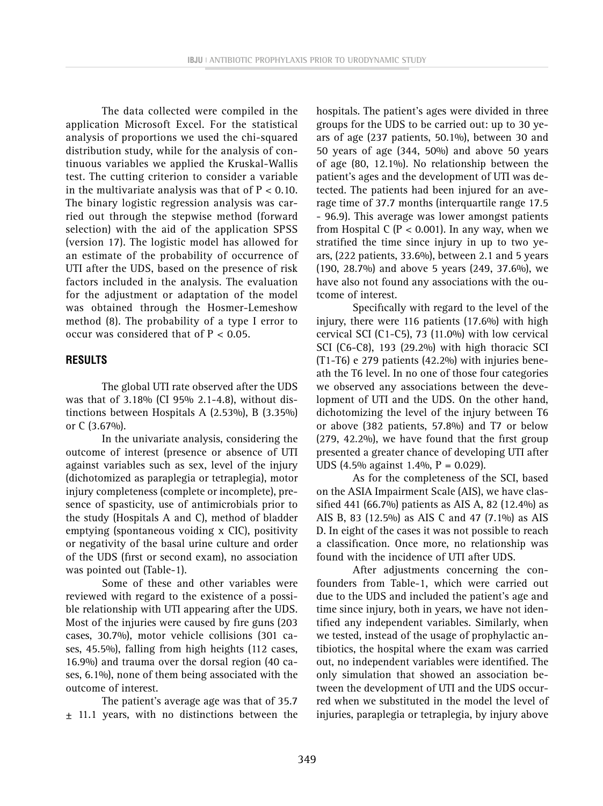The data collected were compiled in the application Microsoft Excel. For the statistical analysis of proportions we used the chi-squared distribution study, while for the analysis of continuous variables we applied the Kruskal-Wallis test. The cutting criterion to consider a variable in the multivariate analysis was that of  $P < 0.10$ . The binary logistic regression analysis was carried out through the stepwise method (forward selection) with the aid of the application SPSS (version 17). The logistic model has allowed for an estimate of the probability of occurrence of UTI after the UDS, based on the presence of risk factors included in the analysis. The evaluation for the adjustment or adaptation of the model was obtained through the Hosmer-Lemeshow method (8). The probability of a type I error to occur was considered that of  $P < 0.05$ .

# **RESULTS**

The global UTI rate observed after the UDS was that of 3.18% (CI 95% 2.1-4.8), without distinctions between Hospitals A (2.53%), B (3.35%) or C (3.67%).

In the univariate analysis, considering the outcome of interest (presence or absence of UTI against variables such as sex, level of the injury (dichotomized as paraplegia or tetraplegia), motor injury completeness (complete or incomplete), presence of spasticity, use of antimicrobials prior to the study (Hospitals A and C), method of bladder emptying (spontaneous voiding x CIC), positivity or negativity of the basal urine culture and order of the UDS (first or second exam), no association was pointed out (Table-1).

Some of these and other variables were reviewed with regard to the existence of a possible relationship with UTI appearing after the UDS. Most of the injuries were caused by fire guns (203 cases, 30.7%), motor vehicle collisions (301 cases, 45.5%), falling from high heights (112 cases, 16.9%) and trauma over the dorsal region (40 cases, 6.1%), none of them being associated with the outcome of interest.

The patient's average age was that of 35.7 ± 11.1 years, with no distinctions between the hospitals. The patient's ages were divided in three groups for the UDS to be carried out: up to 30 years of age (237 patients, 50.1%), between 30 and 50 years of age (344, 50%) and above 50 years of age (80, 12.1%). No relationship between the patient's ages and the development of UTI was detected. The patients had been injured for an average time of 37.7 months (interquartile range 17.5 - 96.9). This average was lower amongst patients from Hospital C ( $P < 0.001$ ). In any way, when we stratified the time since injury in up to two years, (222 patients, 33.6%), between 2.1 and 5 years (190, 28.7%) and above 5 years (249, 37.6%), we have also not found any associations with the outcome of interest.

Specifically with regard to the level of the injury, there were 116 patients (17.6%) with high cervical SCI (C1-C5), 73 (11.0%) with low cervical SCI (C6-C8), 193 (29.2%) with high thoracic SCI (T1-T6) e 279 patients (42.2%) with injuries beneath the T6 level. In no one of those four categories we observed any associations between the development of UTI and the UDS. On the other hand, dichotomizing the level of the injury between T6 or above (382 patients, 57.8%) and T7 or below (279, 42.2%), we have found that the first group presented a greater chance of developing UTI after UDS (4.5% against 1.4%,  $P = 0.029$ ).

As for the completeness of the SCI, based on the ASIA Impairment Scale (AIS), we have classified 441 (66.7%) patients as AIS A, 82 (12.4%) as AIS B, 83 (12.5%) as AIS C and 47 (7.1%) as AIS D. In eight of the cases it was not possible to reach a classification. Once more, no relationship was found with the incidence of UTI after UDS.

After adjustments concerning the confounders from Table-1, which were carried out due to the UDS and included the patient's age and time since injury, both in years, we have not identified any independent variables. Similarly, when we tested, instead of the usage of prophylactic antibiotics, the hospital where the exam was carried out, no independent variables were identified. The only simulation that showed an association between the development of UTI and the UDS occurred when we substituted in the model the level of injuries, paraplegia or tetraplegia, by injury above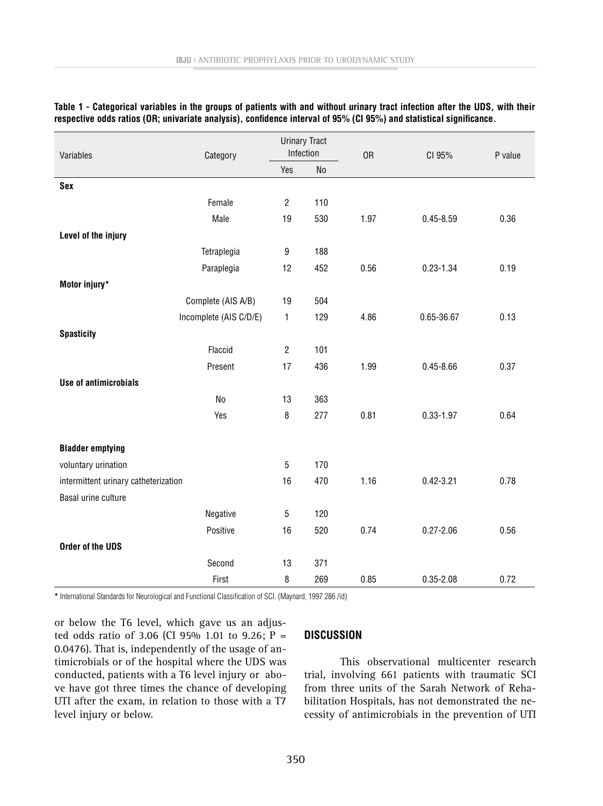| Variables                            | Category               | <b>Urinary Tract</b><br>Infection |                | 0R   | CI 95%        | P value |
|--------------------------------------|------------------------|-----------------------------------|----------------|------|---------------|---------|
|                                      |                        | Yes                               | N <sub>o</sub> |      |               |         |
| <b>Sex</b>                           |                        |                                   |                |      |               |         |
|                                      | Female                 | $\overline{2}$                    | 110            |      |               |         |
|                                      | Male                   | 19                                | 530            | 1.97 | $0.45 - 8.59$ | 0.36    |
| Level of the injury                  |                        |                                   |                |      |               |         |
|                                      | Tetraplegia            | $\boldsymbol{9}$                  | 188            |      |               |         |
|                                      | Paraplegia             | 12                                | 452            | 0.56 | $0.23 - 1.34$ | 0.19    |
| Motor injury*                        |                        |                                   |                |      |               |         |
|                                      | Complete (AIS A/B)     | 19                                | 504            |      |               |         |
|                                      | Incomplete (AIS C/D/E) | 1                                 | 129            | 4.86 | 0.65-36.67    | 0.13    |
| <b>Spasticity</b>                    |                        |                                   |                |      |               |         |
|                                      | Flaccid                | $\overline{2}$                    | 101            |      |               |         |
|                                      | Present                | 17                                | 436            | 1.99 | $0.45 - 8.66$ | 0.37    |
| <b>Use of antimicrobials</b>         |                        |                                   |                |      |               |         |
|                                      | N <sub>o</sub>         | 13                                | 363            |      |               |         |
|                                      | Yes                    | 8                                 | 277            | 0.81 | $0.33 - 1.97$ | 0.64    |
|                                      |                        |                                   |                |      |               |         |
| <b>Bladder emptying</b>              |                        |                                   |                |      |               |         |
| voluntary urination                  |                        | $\overline{5}$                    | 170            |      |               |         |
| intermittent urinary catheterization |                        | 16                                | 470            | 1.16 | $0.42 - 3.21$ | 0.78    |
| Basal urine culture                  |                        |                                   |                |      |               |         |
|                                      | Negative               | $\overline{5}$                    | 120            |      |               |         |
|                                      | Positive               | 16                                | 520            | 0.74 | $0.27 - 2.06$ | 0.56    |
| Order of the UDS                     |                        |                                   |                |      |               |         |
|                                      | Second                 | 13                                | 371            |      |               |         |
|                                      | First                  | 8                                 | 269            | 0.85 | $0.35 - 2.08$ | 0.72    |

#### **Table 1 - Categorical variables in the groups of patients with and without urinary tract infection after the UDS, with their respective odds ratios (OR; univariate analysis), confidence interval of 95% (CI 95%) and statistical significance.**

**\*** International Standards for Neurological and Functional Classification of SCI. (Maynard, 1997 286 /id)

or below the T6 level, which gave us an adjusted odds ratio of 3.06 (CI 95% 1.01 to 9.26;  $P =$ 0.0476). That is, independently of the usage of antimicrobials or of the hospital where the UDS was conducted, patients with a T6 level injury or above have got three times the chance of developing UTI after the exam, in relation to those with a T7 level injury or below.

## **DISCUSSION**

This observational multicenter research trial, involving 661 patients with traumatic SCI from three units of the Sarah Network of Rehabilitation Hospitals, has not demonstrated the necessity of antimicrobials in the prevention of UTI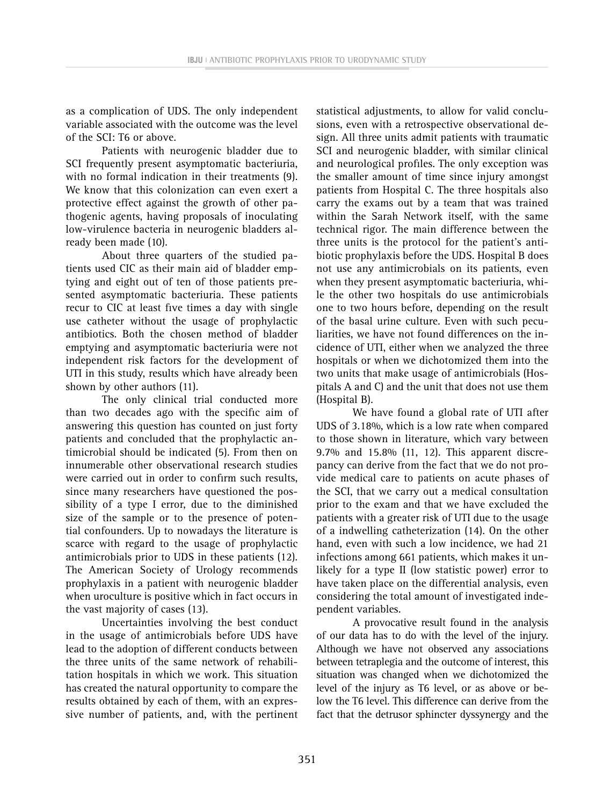as a complication of UDS. The only independent variable associated with the outcome was the level of the SCI: T6 or above.

Patients with neurogenic bladder due to SCI frequently present asymptomatic bacteriuria, with no formal indication in their treatments (9). We know that this colonization can even exert a protective effect against the growth of other pathogenic agents, having proposals of inoculating low-virulence bacteria in neurogenic bladders already been made (10).

About three quarters of the studied patients used CIC as their main aid of bladder emptying and eight out of ten of those patients presented asymptomatic bacteriuria. These patients recur to CIC at least five times a day with single use catheter without the usage of prophylactic antibiotics. Both the chosen method of bladder emptying and asymptomatic bacteriuria were not independent risk factors for the development of UTI in this study, results which have already been shown by other authors (11).

The only clinical trial conducted more than two decades ago with the specific aim of answering this question has counted on just forty patients and concluded that the prophylactic antimicrobial should be indicated (5). From then on innumerable other observational research studies were carried out in order to confirm such results, since many researchers have questioned the possibility of a type I error, due to the diminished size of the sample or to the presence of potential confounders. Up to nowadays the literature is scarce with regard to the usage of prophylactic antimicrobials prior to UDS in these patients (12). The American Society of Urology recommends prophylaxis in a patient with neurogenic bladder when uroculture is positive which in fact occurs in the vast majority of cases (13).

Uncertainties involving the best conduct in the usage of antimicrobials before UDS have lead to the adoption of different conducts between the three units of the same network of rehabilitation hospitals in which we work. This situation has created the natural opportunity to compare the results obtained by each of them, with an expressive number of patients, and, with the pertinent statistical adjustments, to allow for valid conclusions, even with a retrospective observational design. All three units admit patients with traumatic SCI and neurogenic bladder, with similar clinical and neurological profiles. The only exception was the smaller amount of time since injury amongst patients from Hospital C. The three hospitals also carry the exams out by a team that was trained within the Sarah Network itself, with the same technical rigor. The main difference between the three units is the protocol for the patient's antibiotic prophylaxis before the UDS. Hospital B does not use any antimicrobials on its patients, even when they present asymptomatic bacteriuria, while the other two hospitals do use antimicrobials one to two hours before, depending on the result of the basal urine culture. Even with such peculiarities, we have not found differences on the incidence of UTI, either when we analyzed the three hospitals or when we dichotomized them into the two units that make usage of antimicrobials (Hospitals A and C) and the unit that does not use them (Hospital B).

We have found a global rate of UTI after UDS of 3.18%, which is a low rate when compared to those shown in literature, which vary between 9.7% and 15.8% (11, 12). This apparent discrepancy can derive from the fact that we do not provide medical care to patients on acute phases of the SCI, that we carry out a medical consultation prior to the exam and that we have excluded the patients with a greater risk of UTI due to the usage of a indwelling catheterization (14). On the other hand, even with such a low incidence, we had 21 infections among 661 patients, which makes it unlikely for a type II (low statistic power) error to have taken place on the differential analysis, even considering the total amount of investigated independent variables.

A provocative result found in the analysis of our data has to do with the level of the injury. Although we have not observed any associations between tetraplegia and the outcome of interest, this situation was changed when we dichotomized the level of the injury as T6 level, or as above or below the T6 level. This difference can derive from the fact that the detrusor sphincter dyssynergy and the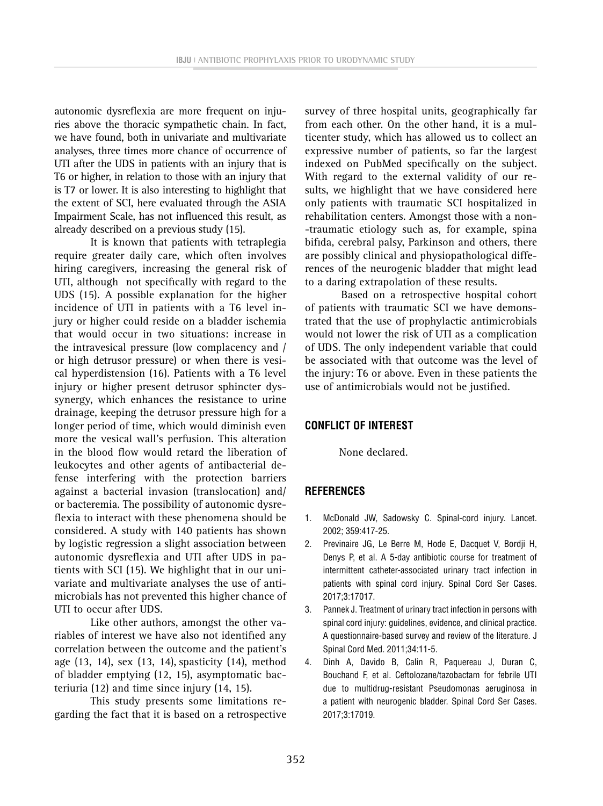autonomic dysreflexia are more frequent on injuries above the thoracic sympathetic chain. In fact, we have found, both in univariate and multivariate analyses, three times more chance of occurrence of UTI after the UDS in patients with an injury that is T6 or higher, in relation to those with an injury that is T7 or lower. It is also interesting to highlight that the extent of SCI, here evaluated through the ASIA Impairment Scale, has not influenced this result, as already described on a previous study (15).

It is known that patients with tetraplegia require greater daily care, which often involves hiring caregivers, increasing the general risk of UTI, although not specifically with regard to the UDS (15). A possible explanation for the higher incidence of UTI in patients with a T6 level injury or higher could reside on a bladder ischemia that would occur in two situations: increase in the intravesical pressure (low complacency and / or high detrusor pressure) or when there is vesical hyperdistension (16). Patients with a T6 level injury or higher present detrusor sphincter dyssynergy, which enhances the resistance to urine drainage, keeping the detrusor pressure high for a longer period of time, which would diminish even more the vesical wall's perfusion. This alteration in the blood flow would retard the liberation of leukocytes and other agents of antibacterial defense interfering with the protection barriers against a bacterial invasion (translocation) and/ or bacteremia. The possibility of autonomic dysreflexia to interact with these phenomena should be considered. A study with 140 patients has shown by logistic regression a slight association between autonomic dysreflexia and UTI after UDS in patients with SCI (15). We highlight that in our univariate and multivariate analyses the use of antimicrobials has not prevented this higher chance of UTI to occur after UDS.

Like other authors, amongst the other variables of interest we have also not identified any correlation between the outcome and the patient's age (13, 14), sex (13, 14), spasticity (14), method of bladder emptying (12, 15), asymptomatic bacteriuria (12) and time since injury (14, 15).

This study presents some limitations regarding the fact that it is based on a retrospective survey of three hospital units, geographically far from each other. On the other hand, it is a multicenter study, which has allowed us to collect an expressive number of patients, so far the largest indexed on PubMed specifically on the subject. With regard to the external validity of our results, we highlight that we have considered here only patients with traumatic SCI hospitalized in rehabilitation centers. Amongst those with a non- -traumatic etiology such as, for example, spina bifida, cerebral palsy, Parkinson and others, there are possibly clinical and physiopathological differences of the neurogenic bladder that might lead to a daring extrapolation of these results.

Based on a retrospective hospital cohort of patients with traumatic SCI we have demonstrated that the use of prophylactic antimicrobials would not lower the risk of UTI as a complication of UDS. The only independent variable that could be associated with that outcome was the level of the injury: T6 or above. Even in these patients the use of antimicrobials would not be justified.

## **CONFLICT OF INTEREST**

None declared.

## **REFERENCES**

- 1. McDonald JW, Sadowsky C. Spinal-cord injury. Lancet. 2002; 359:417-25.
- 2. Previnaire JG, Le Berre M, Hode E, Dacquet V, Bordji H, Denys P, et al. A 5-day antibiotic course for treatment of intermittent catheter-associated urinary tract infection in patients with spinal cord injury. Spinal Cord Ser Cases. 2017;3:17017.
- 3. Pannek J. Treatment of urinary tract infection in persons with spinal cord injury: guidelines, evidence, and clinical practice. A questionnaire-based survey and review of the literature. J Spinal Cord Med. 2011;34:11-5.
- 4. Dinh A, Davido B, Calin R, Paquereau J, Duran C, Bouchand F, et al. Ceftolozane/tazobactam for febrile UTI due to multidrug-resistant Pseudomonas aeruginosa in a patient with neurogenic bladder. Spinal Cord Ser Cases. 2017;3:17019.